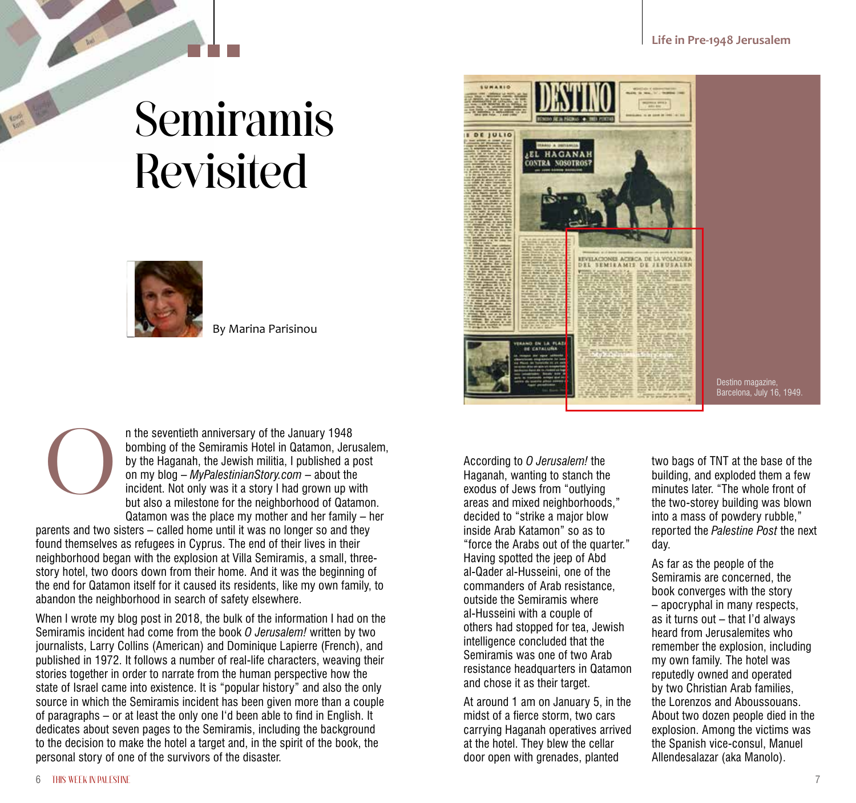## Semiramis Revisited



By Marina Parisinou



parents and two sisters – called home until it was no longer so and they found themselves as refugees in Cyprus. The end of their lives in their neighborhood began with the explosion at Villa Semiramis, a small, threestory hotel, two doors down from their home. And it was the beginning of the end for Qatamon itself for it caused its residents, like my own family, to abandon the neighborhood in search of safety elsewhere.

When I wrote my blog post in 2018, the bulk of the information I had on the Semiramis incident had come from the book *O Jerusalem!* written by two journalists, Larry Collins (American) and Dominique Lapierre (French), and published in 1972. It follows a number of real-life characters, weaving their stories together in order to narrate from the human perspective how the state of Israel came into existence. It is "popular history" and also the only source in which the Semiramis incident has been given more than a couple of paragraphs – or at least the only one I'd been able to find in English. It dedicates about seven pages to the Semiramis, including the background to the decision to make the hotel a target and, in the spirit of the book, the personal story of one of the survivors of the disaster.



Destino magazine, Barcelona, July 16, 1949.

Haganah, wanting to stanch the exodus of Jews from "outlying areas and mixed neighborhoods," decided to "strike a major blow inside Arab Katamon" so as to "force the Arabs out of the quarter." Having spotted the jeep of Abd al-Qader al-Husseini, one of the commanders of Arab resistance, outside the Semiramis where al-Husseini with a couple of others had stopped for tea, Jewish intelligence concluded that the Semiramis was one of two Arab resistance headquarters in Qatamon and chose it as their target.

At around 1 am on January 5, in the midst of a fierce storm, two cars carrying Haganah operatives arrived at the hotel. They blew the cellar door open with grenades, planted

two bags of TNT at the base of the building, and exploded them a few minutes later. "The whole front of the two-storey building was blown into a mass of powdery rubble," reported the *Palestine Post* the next day.

As far as the people of the Semiramis are concerned, the book converges with the story – apocryphal in many respects, as it turns out – that I'd always heard from Jerusalemites who remember the explosion, including my own family. The hotel was reputedly owned and operated by two Christian Arab families, the Lorenzos and Aboussouans. About two dozen people died in the explosion. Among the victims was the Spanish vice-consul, Manuel Allendesalazar (aka Manolo).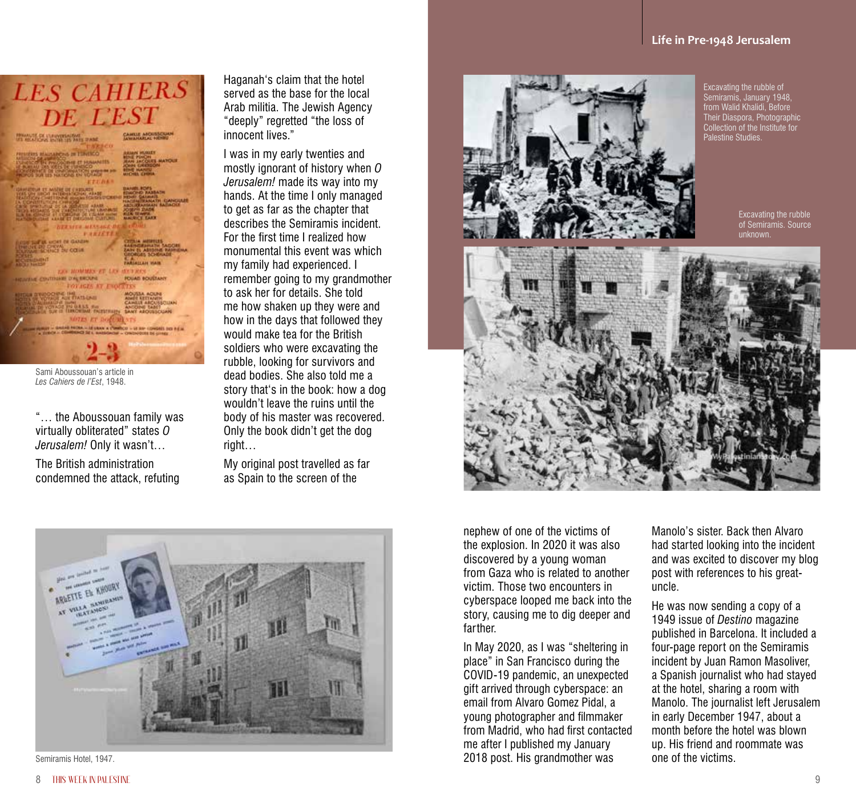## **LES CAHIERS** DE L'EST **BRANCH OF LIVENIDADES M<sub>y</sub>** could

Sami Aboussouan's article in *Les Cahiers de l'Est*, 1948.

"… the Aboussouan family was virtually obliterated" states *O Jerusalem!* Only it wasn't…

The British administration condemned the attack, refuting Haganah's claim that the hotel served as the base for the local Arab militia. The Jewish Agency "deeply" regretted "the loss of innocent lives."

I was in my early twenties and mostly ignorant of history when *O Jerusalem!* made its way into my hands. At the time I only managed to get as far as the chapter that describes the Semiramis incident. For the first time I realized how monumental this event was which my family had experienced. I remember going to my grandmother to ask her for details. She told me how shaken up they were and how in the days that followed they would make tea for the British soldiers who were excavating the rubble, looking for survivors and dead bodies. She also told me a story that's in the book: how a dog wouldn't leave the ruins until the body of his master was recovered. Only the book didn't get the dog right…

My original post travelled as far as Spain to the screen of the



Excavating the rubble of Semiramis, January 1948, from Walid Khalidi, Before Their Diaspora, Photographic Collection of the Institute for Palestine Studies.

> Excavating the rubble of Semiramis. Source unknown.





Semiramis Hotel, 1947.

nephew of one of the victims of the explosion. In 2020 it was also discovered by a young woman from Gaza who is related to another victim. Those two encounters in cyberspace looped me back into the story, causing me to dig deeper and farther.

In May 2020, as I was "sheltering in place" in San Francisco during the COVID-19 pandemic, an unexpected gift arrived through cyberspace: an email from Alvaro Gomez Pidal, a young photographer and filmmaker from Madrid, who had first contacted me after I published my January 2018 post. His grandmother was

Manolo's sister. Back then Alvaro had started looking into the incident and was excited to discover my blog post with references to his greatuncle.

He was now sending a copy of a 1949 issue of *Destino* magazine published in Barcelona. It included a four-page report on the Semiramis incident by Juan Ramon Masoliver, a Spanish journalist who had stayed at the hotel, sharing a room with Manolo. The journalist left Jerusalem in early December 1947, about a month before the hotel was blown up. His friend and roommate was one of the victims.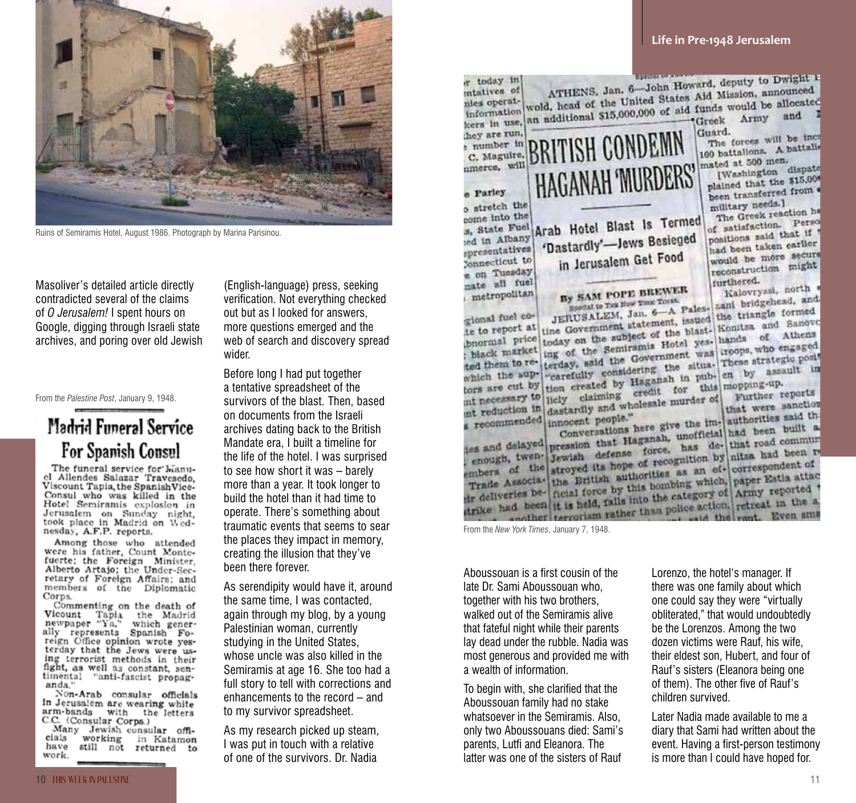

Ruins of Semiramis Hotel, August 1986. Photograph by Marina Parisinou.

Masoliver's detailed article directly contradicted several of the claims of *O Jerusalem!* I spent hours on Google, digging through Israeli state archives, and poring over old Jewish

From the *Palestine Post*, January 9, 1948.

## Madrid Funeral Service For Spanish Consul

The funeral service for hianucl Allendes Salazar Travesedo. Viscount Tapia, the SpanishVice-Consul who was killed in the Hotel Semiramis explosion in Jerusalem on Sunday night,<br>took place in Madrid on Wednesday, A.F.P. reports.

Among those who attended were his father, Count Montefuerte; the Foreign Minister, Alberto Artajo: the Under-Secretary of Foreign Affairs; and members of the Diplomatic Corps.

Commenting on the death of Vicount Tapia the Madrid<br>newpaper "Ya," which generally represents Spanish Foreign Office opinion wrote yesterday that the Jews were using terrorist methods in their fight, as well as constant, sentimental "anti-fascist propaganda.'

Non-Arab consular officials in Jerusalem are wearing white arm-bands with the letters<br>C.C. (Consular Corps.)

Many Jewish consular officials working in Katamon have still not returned to work.

(English-language) press, seeking verification. Not everything checked out but as I looked for answers, more questions emerged and the web of search and discovery spread wider.

Before long I had put together a tentative spreadsheet of the survivors of the blast. Then, based on documents from the Israeli archives dating back to the British Mandate era, I built a timeline for the life of the hotel. I was surprised to see how short it was – barely more than a year. It took longer to build the hotel than it had time to operate. There's something about traumatic events that seems to sear the places they impact in memory, creating the illusion that they've been there forever.

As serendipity would have it, around the same time, I was contacted, again through my blog, by a young Palestinian woman, currently studying in the United States, whose uncle was also killed in the Semiramis at age 16. She too had a full story to tell with corrections and enhancements to the record – and to my survivor spreadsheet.

As my research picked up steam, I was put in touch with a relative of one of the survivors. Dr. Nadia

ATHENS, Jan. 6-John Howard, deputy to Dwight 1 r today in ATHENS, Jan. 6-John Howard, deputy to Dwight<br>wold, head of the United States Aid Mission, amounced entatives of ATHENS. Jan and the United States Aid Mission, amounted<br>information would, head of the United States Aid Mission, amounted<br>ters in use, an additional \$15,000,000 of aid funds would be allocated Guard. they are run. **BRITISH CONDEMN** The forces will be increased number in The forces will battalls C. Maguire. mated at 500 men. HAGANAH 'MURDERS' nmerce, will (Washington dispate plained that the \$15,000 been transferred from e Parley o stretch the military needs.) The Greek reaction he come into the Arab Hotel Blast Is Termed The Greek reaction. Person<br>of satisfaction. Person s, State Fuel positions said that if 'Dastardly'-Jews Besieged ed in Albany had been taken carlier spresentatives in Jerusalem Get Food would be more secure Connecticut to reconstruction might e on Tuesday nate all fuel furthered. By SAM POPE BREWER Kalovryssi, north metropolitan zani bridgehead, and SOUTH AND POPPER TO THE TOUR SOUTH Special to The New York Disk Palenthe triangle formed gional fuel co-JERUSALEM, Jan. tatement, issued the triangle location of the blast-<br>today on the subject of the blast-<br>today on the subject of the blast-<br>senite and of althens te to report at tine Government state of the blast- Konitsa and Sthens<br>today on the subject of the blast- hands of Athens<br>ing of the Semiramis Hotel year- hands who engaged bnormal price today on the supper Hotel yes. hands of the Semiranus Hotel yes. hands of the Government was crops, who engaged terday, said the Government was crategive posit black market terday, said the Government was troops, who end post-<br>terday, said the Government was These strategic post-<br>"carefully considering the situated them to rewhich the supwhich the sup- earefully considering<br>tors are cut by tion created by Haganah in pubtors are cut by tion created by Haganah in public mopping-up.<br>mt necessary to liely claiming credit for this mopping-up.<br>turther recession in the translation and wholesale murder of Further reports int necessary to liely claiming create murder of that were sanction that were said the conversations here give the im-<br>conversations here give the im-<br>authorities said the conversations here and the theory of the sent recommended innocent people." recommended innocent peoples here give the im- authorities built a es and delayed pression that Haganah, unofficial has de-<br>enough, twen- Jewish defense force, has de-<br>that had been recognition by hitsa had been recognition in the the and delayed pression that force, has de-that road been recognition by hitsa had been rembers of the stroyed its hope of recognition by hitsa had been rembers of the stroyed its hope of recognition by correspondent of emough, twen- Jewish detence of recognition by nits and correspondent of Trade Associa- the British authorities as an of- correspondent of Trade Associa- the British authorities as an ofembers of the stroyed its hope that and of correspondent of Trade Associa-<br>the British authorities as an of correspondent of<br>trade Associa-<br>trial force by this bombing which, paper Estia attact<br>in deliveries be-<br>trial forc Trade Associas the British by this bombing which, paper Eatly at the deliveries be-<br>ficial force by this bombing which, paper Eatly reported<br>trike had been it is held, falls into the category of Army reported<br>and the and t From the *New York Times*, January 7, 1948.

Aboussouan is a first cousin of the late Dr. Sami Aboussouan who, together with his two brothers, walked out of the Semiramis alive that fateful night while their parents lay dead under the rubble. Nadia was most generous and provided me with a wealth of information.

To begin with, she clarified that the Aboussouan family had no stake whatsoever in the Semiramis. Also, only two Aboussouans died: Sami's parents, Lutfi and Eleanora. The latter was one of the sisters of Rauf

Lorenzo, the hotel's manager. If there was one family about which one could say they were "virtually obliterated," that would undoubtedly be the Lorenzos. Among the two dozen victims were Rauf, his wife, their eldest son, Hubert, and four of Rauf's sisters (Eleanora being one of them). The other five of Rauf's children survived.

Later Nadia made available to me a diary that Sami had written about the event. Having a first-person testimony is more than I could have hoped for.